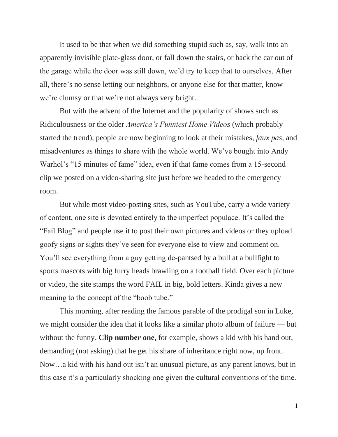It used to be that when we did something stupid such as, say, walk into an apparently invisible plate-glass door, or fall down the stairs, or back the car out of the garage while the door was still down, we'd try to keep that to ourselves. After all, there's no sense letting our neighbors, or anyone else for that matter, know we're clumsy or that we're not always very bright.

But with the advent of the Internet and the popularity of shows such as Ridiculousness or the older *America's Funniest Home Videos* (which probably started the trend), people are now beginning to look at their mistakes, *faux pas,* and misadventures as things to share with the whole world. We've bought into Andy Warhol's "15 minutes of fame" idea, even if that fame comes from a 15-second clip we posted on a video-sharing site just before we headed to the emergency room.

But while most video-posting sites, such as YouTube, carry a wide variety of content, one site is devoted entirely to the imperfect populace. It's called the "Fail Blog" and people use it to post their own pictures and videos or they upload goofy signs or sights they've seen for everyone else to view and comment on. You'll see everything from a guy getting de-pantsed by a bull at a bullfight to sports mascots with big furry heads brawling on a football field. Over each picture or video, the site stamps the word FAIL in big, bold letters. Kinda gives a new meaning to the concept of the "boob tube."

This morning, after reading the famous parable of the prodigal son in Luke, we might consider the idea that it looks like a similar photo album of failure — but without the funny. **Clip number one,** for example, shows a kid with his hand out, demanding (not asking) that he get his share of inheritance right now, up front. Now…a kid with his hand out isn't an unusual picture, as any parent knows, but in this case it's a particularly shocking one given the cultural conventions of the time.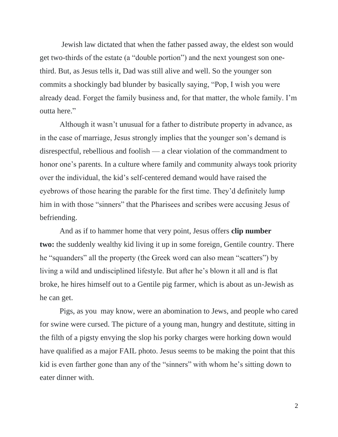Jewish law dictated that when the father passed away, the eldest son would get two-thirds of the estate (a "double portion") and the next youngest son onethird. But, as Jesus tells it, Dad was still alive and well. So the younger son commits a shockingly bad blunder by basically saying, "Pop, I wish you were already dead. Forget the family business and, for that matter, the whole family. I'm outta here."

Although it wasn't unusual for a father to distribute property in advance, as in the case of marriage, Jesus strongly implies that the younger son's demand is disrespectful, rebellious and foolish — a clear violation of the commandment to honor one's parents. In a culture where family and community always took priority over the individual, the kid's self-centered demand would have raised the eyebrows of those hearing the parable for the first time. They'd definitely lump him in with those "sinners" that the Pharisees and scribes were accusing Jesus of befriending.

And as if to hammer home that very point, Jesus offers **clip number two:** the suddenly wealthy kid living it up in some foreign, Gentile country. There he "squanders" all the property (the Greek word can also mean "scatters") by living a wild and undisciplined lifestyle. But after he's blown it all and is flat broke, he hires himself out to a Gentile pig farmer, which is about as un-Jewish as he can get.

Pigs, as you may know, were an abomination to Jews, and people who cared for swine were cursed. The picture of a young man, hungry and destitute, sitting in the filth of a pigsty envying the slop his porky charges were horking down would have qualified as a major FAIL photo. Jesus seems to be making the point that this kid is even farther gone than any of the "sinners" with whom he's sitting down to eater dinner with.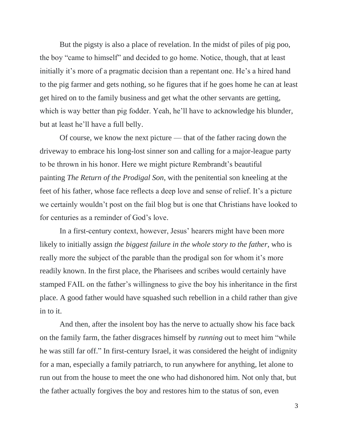But the pigsty is also a place of revelation. In the midst of piles of pig poo, the boy "came to himself" and decided to go home. Notice, though, that at least initially it's more of a pragmatic decision than a repentant one. He's a hired hand to the pig farmer and gets nothing, so he figures that if he goes home he can at least get hired on to the family business and get what the other servants are getting, which is way better than pig fodder. Yeah, he'll have to acknowledge his blunder, but at least he'll have a full belly.

Of course, we know the next picture — that of the father racing down the driveway to embrace his long-lost sinner son and calling for a major-league party to be thrown in his honor. Here we might picture Rembrandt's beautiful painting *The Return of the Prodigal Son*, with the penitential son kneeling at the feet of his father, whose face reflects a deep love and sense of relief. It's a picture we certainly wouldn't post on the fail blog but is one that Christians have looked to for centuries as a reminder of God's love.

In a first-century context, however, Jesus' hearers might have been more likely to initially assign *the biggest failure in the whole story to the father*, who is really more the subject of the parable than the prodigal son for whom it's more readily known. In the first place, the Pharisees and scribes would certainly have stamped FAIL on the father's willingness to give the boy his inheritance in the first place. A good father would have squashed such rebellion in a child rather than give in to it.

And then, after the insolent boy has the nerve to actually show his face back on the family farm, the father disgraces himself by *running* out to meet him "while he was still far off." In first-century Israel, it was considered the height of indignity for a man, especially a family patriarch, to run anywhere for anything, let alone to run out from the house to meet the one who had dishonored him. Not only that, but the father actually forgives the boy and restores him to the status of son, even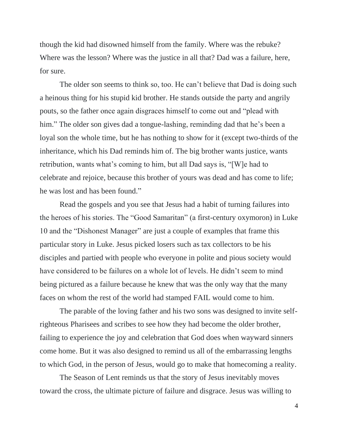though the kid had disowned himself from the family. Where was the rebuke? Where was the lesson? Where was the justice in all that? Dad was a failure, here, for sure.

The older son seems to think so, too. He can't believe that Dad is doing such a heinous thing for his stupid kid brother. He stands outside the party and angrily pouts, so the father once again disgraces himself to come out and "plead with him." The older son gives dad a tongue-lashing, reminding dad that he's been a loyal son the whole time, but he has nothing to show for it (except two-thirds of the inheritance, which his Dad reminds him of. The big brother wants justice, wants retribution, wants what's coming to him, but all Dad says is, "[W]e had to celebrate and rejoice, because this brother of yours was dead and has come to life; he was lost and has been found."

Read the gospels and you see that Jesus had a habit of turning failures into the heroes of his stories. The "Good Samaritan" (a first-century oxymoron) in Luke 10 and the "Dishonest Manager" are just a couple of examples that frame this particular story in Luke. Jesus picked losers such as tax collectors to be his disciples and partied with people who everyone in polite and pious society would have considered to be failures on a whole lot of levels. He didn't seem to mind being pictured as a failure because he knew that was the only way that the many faces on whom the rest of the world had stamped FAIL would come to him.

The parable of the loving father and his two sons was designed to invite selfrighteous Pharisees and scribes to see how they had become the older brother, failing to experience the joy and celebration that God does when wayward sinners come home. But it was also designed to remind us all of the embarrassing lengths to which God, in the person of Jesus, would go to make that homecoming a reality.

The Season of Lent reminds us that the story of Jesus inevitably moves toward the cross, the ultimate picture of failure and disgrace. Jesus was willing to